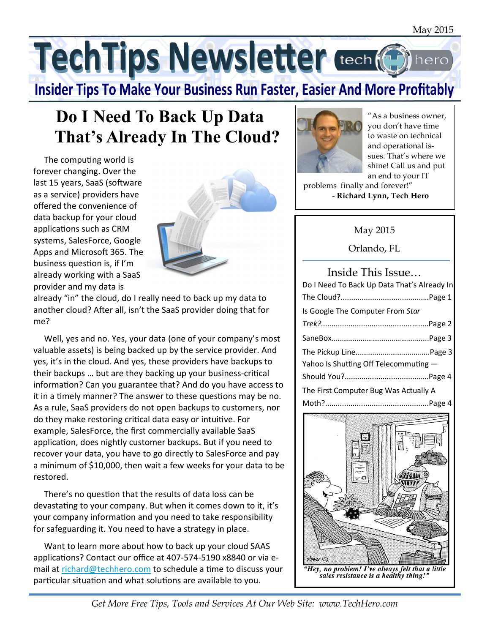TechTips Newsletter tech (G

**Insider Tips To Make Your Business Run Faster, Easier And More Profitably** 

# **Do I Need To Back Up Data That's Already In The Cloud?**

The computing world is forever changing. Over the last 15 years, SaaS (software as a service) providers have offered the convenience of data backup for your cloud applications such as CRM systems, SalesForce, Google Apps and Microsoft 365. The business question is, if I'm already working with a SaaS provider and my data is



already "in" the cloud, do I really need to back up my data to another cloud? After all, isn't the SaaS provider doing that for me? İ

 Well, yes and no. Yes, your data (one of your company's most valuable assets) is being backed up by the service provider. And yes, it's in the cloud. And yes, these providers have backups to their backups … but are they backing up your business-cri cal information? Can you guarantee that? And do you have access to it in a timely manner? The answer to these questions may be no. As a rule, SaaS providers do not open backups to customers, nor do they make restoring critical data easy or intuitive. For example, SalesForce, the first commercially available SaaS application, does nightly customer backups. But if you need to recover your data, you have to go directly to SalesForce and pay a minimum of \$10,000, then wait a few weeks for your data to be restored.

There's no question that the results of data loss can be devasta ng to your company. But when it comes down to it, it's your company information and you need to take responsibility for safeguarding it. You need to have a strategy in place.

 Want to learn more about how to back up your cloud SAAS applications? Contact our office at 407-574-5190 x8840 or via email at richard@techhero.com to schedule a time to discuss your particular situation and what solutions are available to you.



"As a business owner, you don't have time to waste on technical and operational issues. That's where we shine! Call us and put an end to your IT

problems finally and forever!" - **Richard Lynn, Tech Hero**

#### May 2015

Orlando, FL

#### Inside This Issue… Do I Need To Back Up Data That's Already In The Cloud?.......................................…Page 1 Is Google The Computer From *Star Trek?...........................................*….....Page 2 SaneBox…………………………………….…....Page 3 The Pickup Line………………………….…....Page 3 Yahoo Is Shutting Off Telecommuting -Should You?..................................…...Page 4 The First Computer Bug Was Actually A Moth?.................................................Page 4



*Get More Free Tips, Tools and Services At Our Web Site: www.TechHero.com*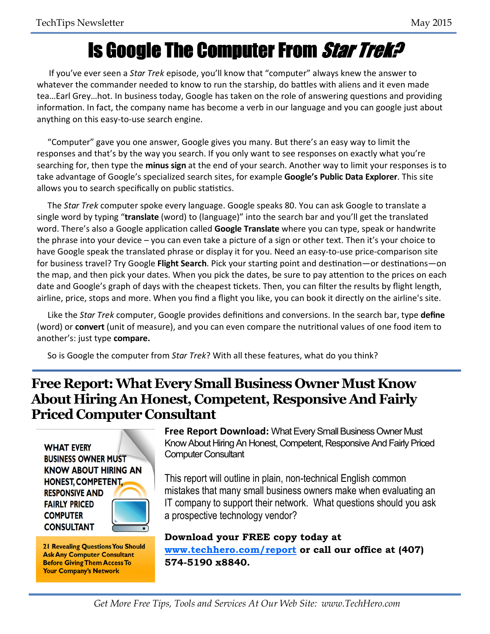# Is Google The Computer From Star Trek?

 If you've ever seen a *Star Trek* episode, you'll know that "computer" always knew the answer to whatever the commander needed to know to run the starship, do battles with aliens and it even made tea...Earl Grey...hot. In business today, Google has taken on the role of answering questions and providing information. In fact, the company name has become a verb in our language and you can google just about anything on this easy-to-use search engine.

 "Computer" gave you one answer, Google gives you many. But there's an easy way to limit the responses and that's by the way you search. If you only want to see responses on exactly what you're searching for, then type the **minus sign** at the end of your search. Another way to limit your responses is to take advantage of Google's specialized search sites, for example **Google's Public Data Explorer**. This site allows you to search specifically on public statistics. Ī

 The *Star Trek* computer spoke every language. Google speaks 80. You can ask Google to translate a single word by typing "**translate** (word) to (language)" into the search bar and you'll get the translated word. There's also a Google application called Google Translate where you can type, speak or handwrite the phrase into your device – you can even take a picture of a sign or other text. Then it's your choice to have Google speak the translated phrase or display it for you. Need an easy-to-use price-comparison site for business travel? Try Google Flight Search. Pick your starting point and destination—or destinations—on the map, and then pick your dates. When you pick the dates, be sure to pay attention to the prices on each date and Google's graph of days with the cheapest tickets. Then, you can filter the results by flight length, airline, price, stops and more. When you find a flight you like, you can book it directly on the airline's site. Ì

Like the Star Trek computer, Google provides definitions and conversions. In the search bar, type define (word) or **convert** (unit of measure), and you can even compare the nutritional values of one food item to another's: just type **compare.** 

So is Google the computer from *Star Trek*? With all these features, what do you think?

#### **Free Report: What Every Small Business Owner Must Know About Hiring An Honest, Competent, Responsive And Fairly Priced Computer Consultant**

**WHAT EVERY BUSINESS OWNER MUST KNOW ABOUT HIRING AN HONEST, COMPETENT. RESPONSIVE AND FAIRLY PRICED COMPUTER CONSULTANT** 

**21 Revealing Questions You Should Ask Any Computer Consultant Before Giving Them Access To Your Company's Network** 

**Free Report Download:** What Every Small Business Owner Must Know About Hiring An Honest, Competent, Responsive And Fairly Priced Computer Consultant

This report will outline in plain, non-technical English common mistakes that many small business owners make when evaluating an IT company to support their network. What questions should you ask a prospective technology vendor?

**Download your FREE copy today at www.techhero.com/report or call our office at (407) 574-5190 x8840.**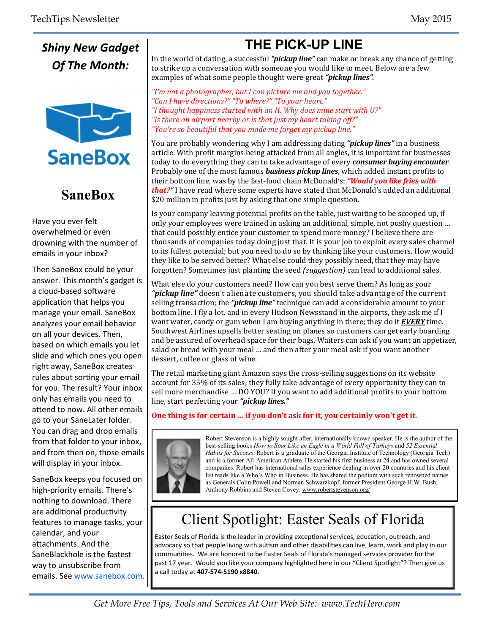*Shiny New Gadget Of The Month:* 



## **SaneBox**

Have you ever felt overwhelmed or even drowning with the number of emails in your inbox?

Then SaneBox could be your answer. This month's gadget is a cloud-based software application that helps you manage your email. SaneBox analyzes your email behavior on all your devices. Then, based on which emails you let slide and which ones you open right away, SaneBox creates rules about sorting your email for you. The result? Your inbox only has emails you need to attend to now. All other emails go to your SaneLater folder. You can drag and drop emails from that folder to your inbox, and from then on, those emails will display in your inbox.

SaneBox keeps you focused on high-priority emails. There's nothing to download. There are additional productivity features to manage tasks, your calendar, and your attachments. And the SaneBlackhole is the fastest way to unsubscribe from emails. See www.sanebox.com.

## **THE PICK-UP LINE**

In the world of dating, a successful **"pickup line"** can make or break any chance of getting to strike up a conversation with someone you would like to meet. Below are a few examples of what some people thought were great "*pickup lines*".

"I'm not a photographer, but I can picture me and you together." "Can I have directions?" "To where?" "To your heart." "I thought happiness started with an H. Why does mine start with U?" "Is there an airport nearby or is that just my heart taking off?" "You're so beautiful that you made me forget my pickup line."

You are probably wondering why I am addressing dating "*pickup lines*" in a business article. With profit margins being attacked from all angles, it is important for businesses today to do everything they can to take advantage of every *consumer buying encounter*. Probably one of the most famous **business pickup lines**, which added instant profits to their bottom line, was by the fast-food chain McDonald's: "Would you like fries with *that?***"** I have read where some experts have stated that McDonald's added an additional \$20 million in profits just by asking that one simple question.

Is your company leaving potential profits on the table, just waiting to be scooped up, if only your employees were trained in asking an additional, simple, not pushy question ... that could possibly entice your customer to spend more money? I believe there are thousands of companies today doing just that. It is your job to exploit every sales channel to its fullest potential; but you need to do so by thinking like your customers. How would they like to be served better? What else could they possibly need, that they may have forgotten? Sometimes just planting the seed *(suggestion)* can lead to additional sales.

What else do your customers need? How can you best serve them? As long as your **"pickup line"** doesn't alienate customers, you should take advantage of the current selling transaction; the "**pickup line**" technique can add a considerable amount to your bottom line. I fly a lot, and in every Hudson Newsstand in the airports, they ask me if I want water, candy or gum when I am buying anything in there; they do it **EVERY** time. Southwest Airlines upsells better seating on planes so customers can get early boarding and be assured of overhead space for their bags. Waiters can ask if you want an appetizer, salad or bread with your meal ... and then after your meal ask if you want another dessert, coffee or glass of wine.

The retail marketing giant Amazon says the cross-selling suggestions on its website account for 35% of its sales; they fully take advantage of every opportunity they can to sell more merchandise ... DO YOU? If you want to add additional profits to your bottom line, start perfecting your "*pickup lines.*"

#### One thing is for certain ... if you don't ask for it, you certainly won't get it.



Robert Stevenson is a highly sought after, internationally known speaker. He is the author of the best-selling books *How to Soar Like an Eagle in a World Full of Turkeys* and *52 Essential Habits for Success*. Robert is a graduate of the Georgia Institute of Technology (Georgia Tech) and is a former All-American Athlete. He started his first business at 24 and has owned several companies. Robert has international sales experience dealing in over 20 countries and his client list reads like a Who's Who in Business. He has shared the podium with such renowned names as Generals Colin Powell and Norman Schwarzkopf, former President George H.W. Bush, Anthony Robbins and Steven Covey. www.robertstevenson.org/

# Client Spotlight: Easter Seals of Florida

Easter Seals of Florida is the leader in providing exceptional services, education, outreach, and advocacy so that people living with autism and other disabilities can live, learn, work and play in our communities. We are honored to be Easter Seals of Florida's managed services provider for the past 17 year. Would you like your company highlighted here in our "Client Spotlight"? Then give us a call today at **407-574-5190 x8840**.